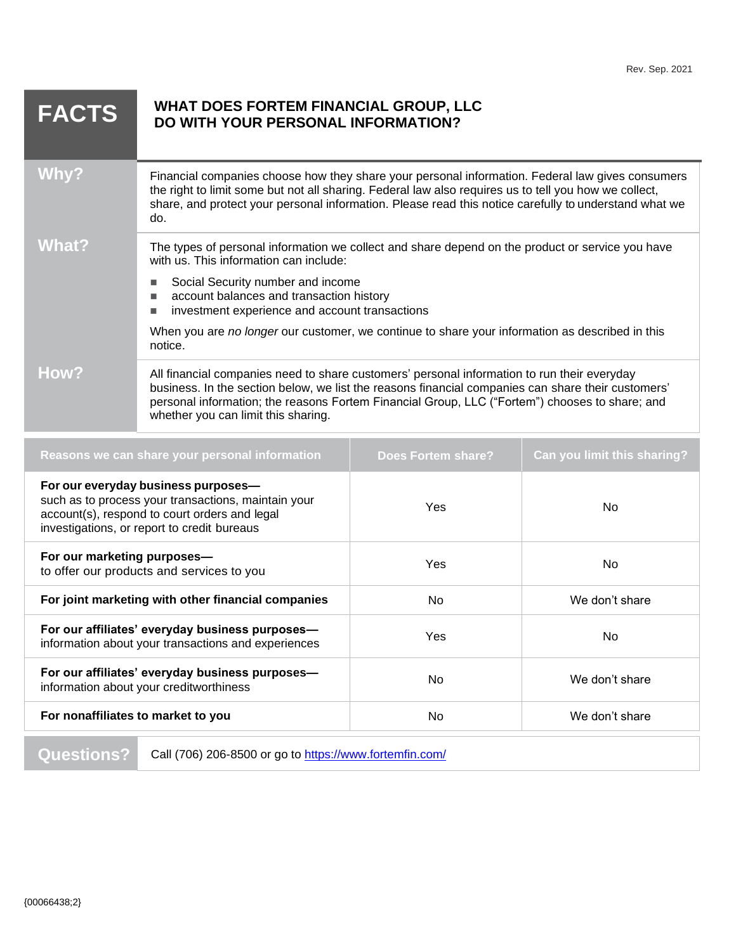| <b>FACTS</b> | WHAT DOES FORTEM FINANCIAL GROUP, LLC<br>DO WITH YOUR PERSONAL INFORMATION?                                                                                                                                                                                                                                                                                                                      |
|--------------|--------------------------------------------------------------------------------------------------------------------------------------------------------------------------------------------------------------------------------------------------------------------------------------------------------------------------------------------------------------------------------------------------|
| Why?         | Financial companies choose how they share your personal information. Federal law gives consumers<br>the right to limit some but not all sharing. Federal law also requires us to tell you how we collect,<br>share, and protect your personal information. Please read this notice carefully to understand what we<br>do.                                                                        |
| What?        | The types of personal information we collect and share depend on the product or service you have<br>with us. This information can include:<br>Social Security number and income<br>account balances and transaction history<br>investment experience and account transactions<br>■<br>When you are no longer our customer, we continue to share your information as described in this<br>notice. |
| How?         | All financial companies need to share customers' personal information to run their everyday<br>business. In the section below, we list the reasons financial companies can share their customers'<br>personal information; the reasons Fortem Financial Group, LLC ("Fortem") chooses to share; and<br>whether you can limit this sharing.                                                       |

| Reasons we can share your personal information                                                                                                                                             | <b>Does Fortem share?</b> | Can you limit this sharing? |
|--------------------------------------------------------------------------------------------------------------------------------------------------------------------------------------------|---------------------------|-----------------------------|
| For our everyday business purposes-<br>such as to process your transactions, maintain your<br>account(s), respond to court orders and legal<br>investigations, or report to credit bureaus | Yes                       | No.                         |
| For our marketing purposes-<br>to offer our products and services to you                                                                                                                   | Yes                       | No.                         |
| For joint marketing with other financial companies                                                                                                                                         | No.                       | We don't share              |
| For our affiliates' everyday business purposes-<br>information about your transactions and experiences                                                                                     | Yes                       | No.                         |
| For our affiliates' everyday business purposes-<br>information about your creditworthiness                                                                                                 | No.                       | We don't share              |
| For nonaffiliates to market to you                                                                                                                                                         | No.                       | We don't share              |

Questions? Call (706) 206-8500 or go to<https://www.fortemfin.com/>